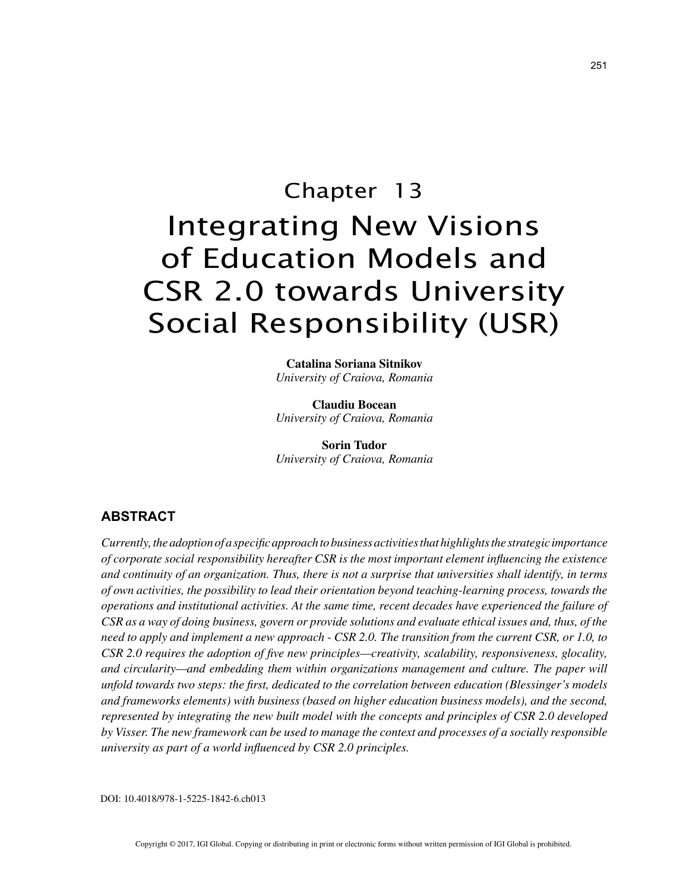

# of Education Models and CSR 2.0 towards University Social Responsibility (USR)

**Catalina Soriana Sitnikov** *University of Craiova, Romania*

**Claudiu Bocean** *University of Craiova, Romania*

**Sorin Tudor** *University of Craiova, Romania*

## **ABSTRACT**

*Currently, the adoption of a specific approach to business activities that highlights the strategic importance of corporate social responsibility hereafter CSR is the most important element influencing the existence and continuity of an organization. Thus, there is not a surprise that universities shall identify, in terms of own activities, the possibility to lead their orientation beyond teaching-learning process, towards the operations and institutional activities. At the same time, recent decades have experienced the failure of CSR as a way of doing business, govern or provide solutions and evaluate ethical issues and, thus, of the need to apply and implement a new approach - CSR 2.0. The transition from the current CSR, or 1.0, to CSR 2.0 requires the adoption of five new principles—creativity, scalability, responsiveness, glocality, and circularity—and embedding them within organizations management and culture. The paper will unfold towards two steps: the first, dedicated to the correlation between education (Blessinger's models and frameworks elements) with business (based on higher education business models), and the second, represented by integrating the new built model with the concepts and principles of CSR 2.0 developed by Visser. The new framework can be used to manage the context and processes of a socially responsible university as part of a world influenced by CSR 2.0 principles.*

DOI: 10.4018/978-1-5225-1842-6.ch013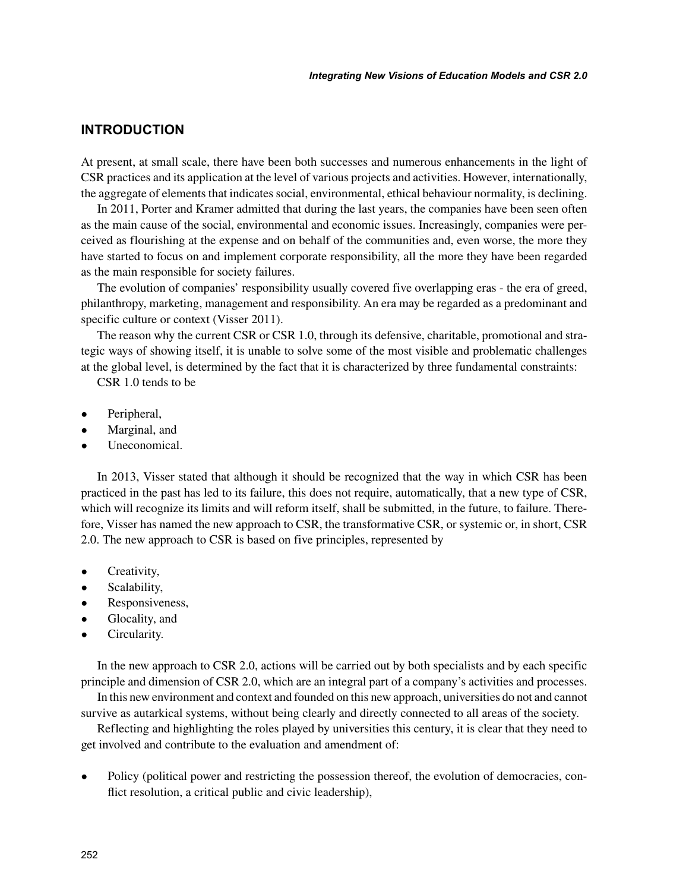## **INTRODUCTION**

At present, at small scale, there have been both successes and numerous enhancements in the light of CSR practices and its application at the level of various projects and activities. However, internationally, the aggregate of elements that indicates social, environmental, ethical behaviour normality, is declining.

In 2011, Porter and Kramer admitted that during the last years, the companies have been seen often as the main cause of the social, environmental and economic issues. Increasingly, companies were perceived as flourishing at the expense and on behalf of the communities and, even worse, the more they have started to focus on and implement corporate responsibility, all the more they have been regarded as the main responsible for society failures.

The evolution of companies' responsibility usually covered five overlapping eras - the era of greed, philanthropy, marketing, management and responsibility. An era may be regarded as a predominant and specific culture or context (Visser 2011).

The reason why the current CSR or CSR 1.0, through its defensive, charitable, promotional and strategic ways of showing itself, it is unable to solve some of the most visible and problematic challenges at the global level, is determined by the fact that it is characterized by three fundamental constraints:

CSR 1.0 tends to be

- Peripheral,
- Marginal, and
- Uneconomical.

In 2013, Visser stated that although it should be recognized that the way in which CSR has been practiced in the past has led to its failure, this does not require, automatically, that a new type of CSR, which will recognize its limits and will reform itself, shall be submitted, in the future, to failure. Therefore, Visser has named the new approach to CSR, the transformative CSR, or systemic or, in short, CSR 2.0. The new approach to CSR is based on five principles, represented by

- Creativity,
- Scalability,
- Responsiveness,
- Glocality, and
- Circularity.

In the new approach to CSR 2.0, actions will be carried out by both specialists and by each specific principle and dimension of CSR 2.0, which are an integral part of a company's activities and processes.

In this new environment and context and founded on this new approach, universities do not and cannot survive as autarkical systems, without being clearly and directly connected to all areas of the society.

Reflecting and highlighting the roles played by universities this century, it is clear that they need to get involved and contribute to the evaluation and amendment of:

• Policy (political power and restricting the possession thereof, the evolution of democracies, conflict resolution, a critical public and civic leadership),